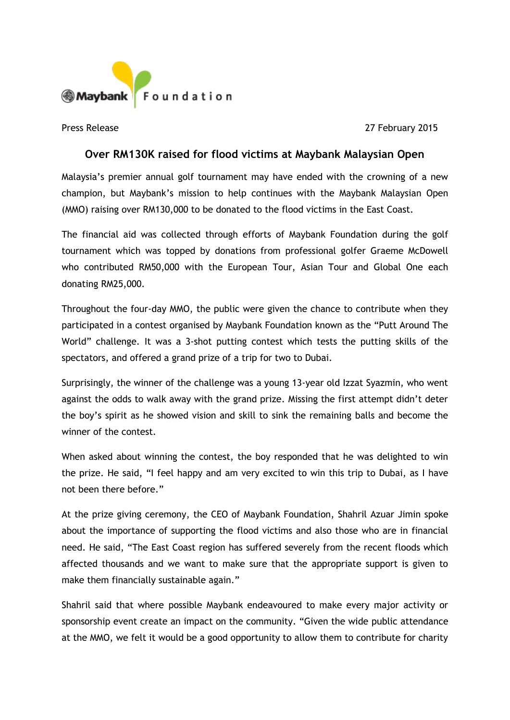

Press Release 2015

## **Over RM130K raised for flood victims at Maybank Malaysian Open**

Malaysia's premier annual golf tournament may have ended with the crowning of a new champion, but Maybank's mission to help continues with the Maybank Malaysian Open (MMO) raising over RM130,000 to be donated to the flood victims in the East Coast.

The financial aid was collected through efforts of Maybank Foundation during the golf tournament which was topped by donations from professional golfer Graeme McDowell who contributed RM50,000 with the European Tour, Asian Tour and Global One each donating RM25,000.

Throughout the four-day MMO, the public were given the chance to contribute when they participated in a contest organised by Maybank Foundation known as the "Putt Around The World" challenge. It was a 3-shot putting contest which tests the putting skills of the spectators, and offered a grand prize of a trip for two to Dubai.

Surprisingly, the winner of the challenge was a young 13-year old Izzat Syazmin, who went against the odds to walk away with the grand prize. Missing the first attempt didn't deter the boy's spirit as he showed vision and skill to sink the remaining balls and become the winner of the contest.

When asked about winning the contest, the boy responded that he was delighted to win the prize. He said, "I feel happy and am very excited to win this trip to Dubai, as I have not been there before."

At the prize giving ceremony, the CEO of Maybank Foundation, Shahril Azuar Jimin spoke about the importance of supporting the flood victims and also those who are in financial need. He said, "The East Coast region has suffered severely from the recent floods which affected thousands and we want to make sure that the appropriate support is given to make them financially sustainable again."

Shahril said that where possible Maybank endeavoured to make every major activity or sponsorship event create an impact on the community. "Given the wide public attendance at the MMO, we felt it would be a good opportunity to allow them to contribute for charity